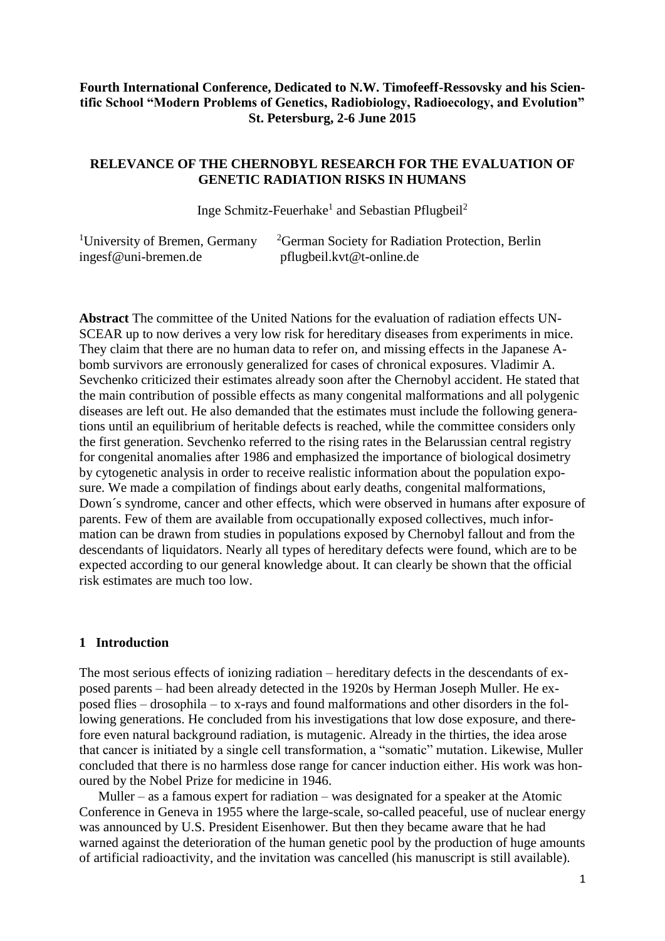### **Fourth International Conference, Dedicated to N.W. Timofeeff-Ressovsky and his Scientific School "Modern Problems of Genetics, Radiobiology, Radioecology, and Evolution" St. Petersburg, 2-6 June 2015**

### **RELEVANCE OF THE CHERNOBYL RESEARCH FOR THE EVALUATION OF GENETIC RADIATION RISKS IN HUMANS**

Inge Schmitz-Feuerhake<sup>1</sup> and Sebastian Pflugbeil<sup>2</sup>

| <sup>1</sup> University of Bremen, Germany | <sup>2</sup> German Society for Radiation Protection, Berlin |
|--------------------------------------------|--------------------------------------------------------------|
| ingesf@uni-bremen.de                       | pflugbeil.kvt@t-online.de                                    |

**Abstract** The committee of the United Nations for the evaluation of radiation effects UN-SCEAR up to now derives a very low risk for hereditary diseases from experiments in mice. They claim that there are no human data to refer on, and missing effects in the Japanese Abomb survivors are erronously generalized for cases of chronical exposures. Vladimir A. Sevchenko criticized their estimates already soon after the Chernobyl accident. He stated that the main contribution of possible effects as many congenital malformations and all polygenic diseases are left out. He also demanded that the estimates must include the following generations until an equilibrium of heritable defects is reached, while the committee considers only the first generation. Sevchenko referred to the rising rates in the Belarussian central registry for congenital anomalies after 1986 and emphasized the importance of biological dosimetry by cytogenetic analysis in order to receive realistic information about the population exposure. We made a compilation of findings about early deaths, congenital malformations, Down´s syndrome, cancer and other effects, which were observed in humans after exposure of parents. Few of them are available from occupationally exposed collectives, much information can be drawn from studies in populations exposed by Chernobyl fallout and from the descendants of liquidators. Nearly all types of hereditary defects were found, which are to be expected according to our general knowledge about. It can clearly be shown that the official risk estimates are much too low.

#### **1 Introduction**

The most serious effects of ionizing radiation – hereditary defects in the descendants of exposed parents – had been already detected in the 1920s by Herman Joseph Muller. He exposed flies – drosophila – to x-rays and found malformations and other disorders in the following generations. He concluded from his investigations that low dose exposure, and therefore even natural background radiation, is mutagenic. Already in the thirties, the idea arose that cancer is initiated by a single cell transformation, a "somatic" mutation. Likewise, Muller concluded that there is no harmless dose range for cancer induction either. His work was honoured by the Nobel Prize for medicine in 1946.

Muller – as a famous expert for radiation – was designated for a speaker at the Atomic Conference in Geneva in 1955 where the large-scale, so-called peaceful, use of nuclear energy was announced by U.S. President Eisenhower. But then they became aware that he had warned against the deterioration of the human genetic pool by the production of huge amounts of artificial radioactivity, and the invitation was cancelled (his manuscript is still available).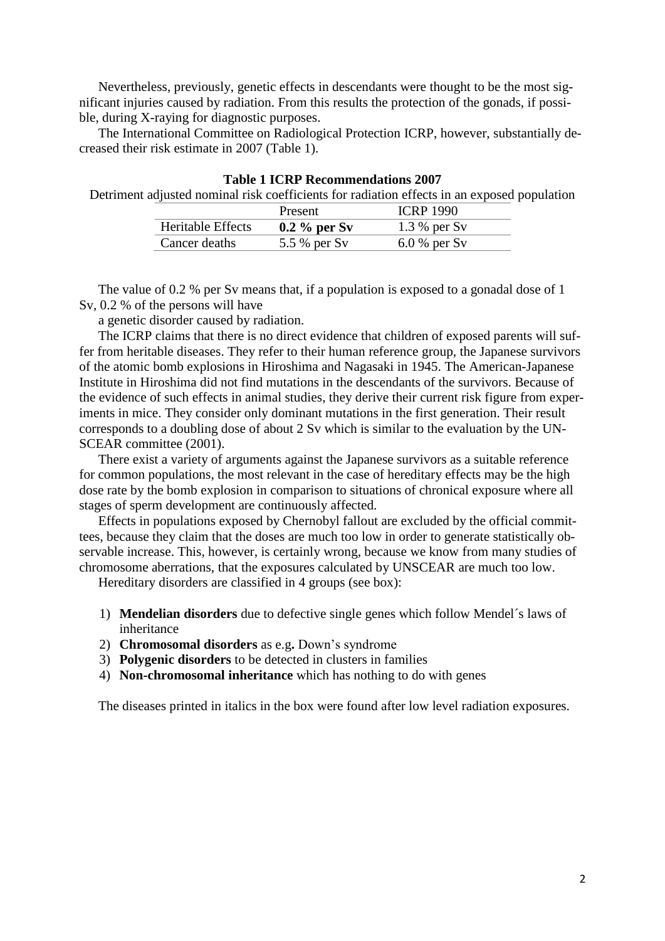Nevertheless, previously, genetic effects in descendants were thought to be the most significant injuries caused by radiation. From this results the protection of the gonads, if possible, during X-raying for diagnostic purposes.

The International Committee on Radiological Protection ICRP, however, substantially decreased their risk estimate in 2007 (Table 1).

| Table TICRP Recommendations 2007                                                            |                   |                |                  |  |
|---------------------------------------------------------------------------------------------|-------------------|----------------|------------------|--|
| Detriment adjusted nominal risk coefficients for radiation effects in an exposed population |                   |                |                  |  |
|                                                                                             |                   | Present        | <b>ICRP 1990</b> |  |
|                                                                                             | Heritable Effects | $0.2\%$ per Sv | $1.3\%$ per Sv   |  |
|                                                                                             | Cancer deaths     | 5.5 % per Sv   | $6.0\%$ per Sv   |  |

**Table 1 ICRP Recommendations 2007**

The value of 0.2 % per Sv means that, if a population is exposed to a gonadal dose of 1 Sv, 0.2 % of the persons will have

a genetic disorder caused by radiation.

The ICRP claims that there is no direct evidence that children of exposed parents will suffer from heritable diseases. They refer to their human reference group, the Japanese survivors of the atomic bomb explosions in Hiroshima and Nagasaki in 1945. The American-Japanese Institute in Hiroshima did not find mutations in the descendants of the survivors. Because of the evidence of such effects in animal studies, they derive their current risk figure from experiments in mice. They consider only dominant mutations in the first generation. Their result corresponds to a doubling dose of about 2 Sv which is similar to the evaluation by the UN-SCEAR committee (2001).

There exist a variety of arguments against the Japanese survivors as a suitable reference for common populations, the most relevant in the case of hereditary effects may be the high dose rate by the bomb explosion in comparison to situations of chronical exposure where all stages of sperm development are continuously affected.

Effects in populations exposed by Chernobyl fallout are excluded by the official committees, because they claim that the doses are much too low in order to generate statistically observable increase. This, however, is certainly wrong, because we know from many studies of chromosome aberrations, that the exposures calculated by UNSCEAR are much too low.

Hereditary disorders are classified in 4 groups (see box):

- 1) **Mendelian disorders** due to defective single genes which follow Mendel´s laws of inheritance
- 2) **Chromosomal disorders** as e.g**.** Down's syndrome
- 3) **Polygenic disorders** to be detected in clusters in families
- 4) **Non-chromosomal inheritance** which has nothing to do with genes

The diseases printed in italics in the box were found after low level radiation exposures.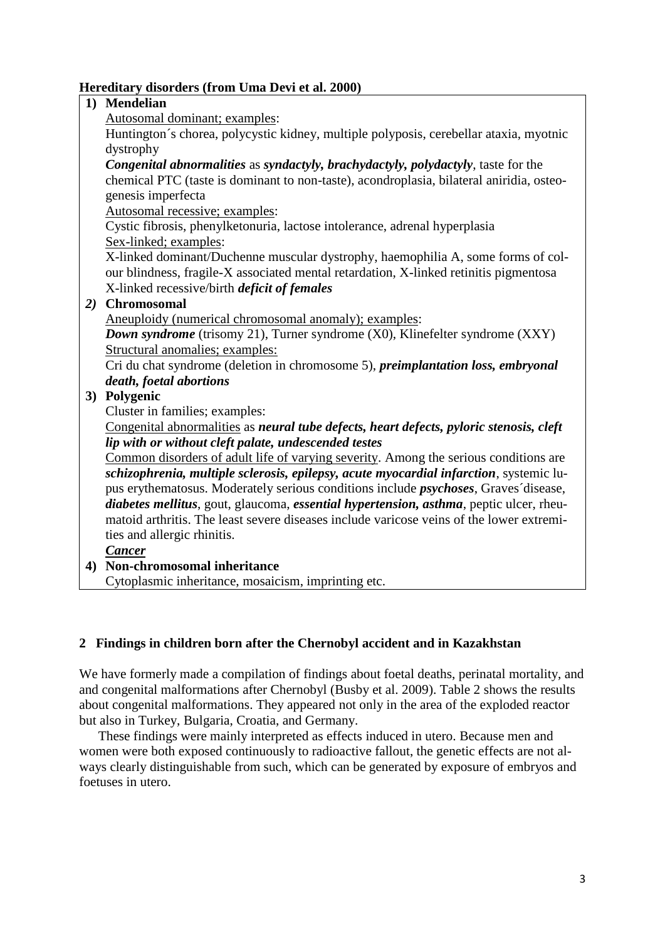## **Hereditary disorders (from Uma Devi et al. 2000)**

## **1) Mendelian**

Autosomal dominant; examples:

Huntington´s chorea, polycystic kidney, multiple polyposis, cerebellar ataxia, myotnic dystrophy

*Congenital abnormalities* as *syndactyly, brachydactyly, polydactyly*, taste for the chemical PTC (taste is dominant to non-taste), acondroplasia, bilateral aniridia, osteogenesis imperfecta

Autosomal recessive; examples:

Cystic fibrosis, phenylketonuria, lactose intolerance, adrenal hyperplasia Sex-linked; examples:

X-linked dominant/Duchenne muscular dystrophy, haemophilia A, some forms of colour blindness, fragile-X associated mental retardation, X-linked retinitis pigmentosa X-linked recessive/birth *deficit of females*

## *2)* **Chromosomal**

Aneuploidy (numerical chromosomal anomaly); examples:

*Down syndrome* (trisomy 21), Turner syndrome (X0), Klinefelter syndrome (XXY) Structural anomalies; examples:

Cri du chat syndrome (deletion in chromosome 5), *preimplantation loss, embryonal death, foetal abortions*

# **3) Polygenic**

Cluster in families; examples:

Congenital abnormalities as *neural tube defects, heart defects, pyloric stenosis, cleft lip with or without cleft palate, undescended testes*

Common disorders of adult life of varying severity. Among the serious conditions are *schizophrenia, multiple sclerosis, epilepsy, acute myocardial infarction*, systemic lupus erythematosus. Moderately serious conditions include *psychoses*, Graves´disease, *diabetes mellitus*, gout, glaucoma, *essential hypertension, asthma*, peptic ulcer, rheumatoid arthritis. The least severe diseases include varicose veins of the lower extremities and allergic rhinitis.

## *Cancer*

**4) Non-chromosomal inheritance**

Cytoplasmic inheritance, mosaicism, imprinting etc.

## **2 Findings in children born after the Chernobyl accident and in Kazakhstan**

We have formerly made a compilation of findings about foetal deaths, perinatal mortality, and and congenital malformations after Chernobyl (Busby et al. 2009). Table 2 shows the results about congenital malformations. They appeared not only in the area of the exploded reactor but also in Turkey, Bulgaria, Croatia, and Germany.

These findings were mainly interpreted as effects induced in utero. Because men and women were both exposed continuously to radioactive fallout, the genetic effects are not always clearly distinguishable from such, which can be generated by exposure of embryos and foetuses in utero.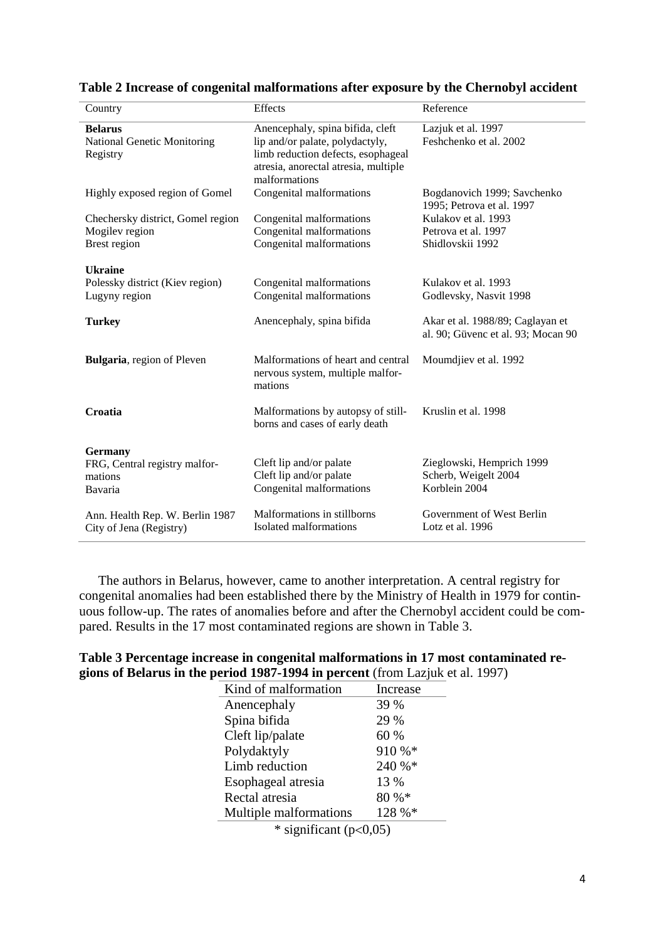| Country                                                               | Effects                                                                                                                                                            | Reference                                                              |
|-----------------------------------------------------------------------|--------------------------------------------------------------------------------------------------------------------------------------------------------------------|------------------------------------------------------------------------|
| <b>Belarus</b><br><b>National Genetic Monitoring</b><br>Registry      | Anencephaly, spina bifida, cleft<br>lip and/or palate, polydactyly,<br>limb reduction defects, esophageal<br>atresia, anorectal atresia, multiple<br>malformations | Lazjuk et al. 1997<br>Feshchenko et al. 2002                           |
| Highly exposed region of Gomel                                        | Congenital malformations                                                                                                                                           | Bogdanovich 1999; Savchenko<br>1995; Petrova et al. 1997               |
| Chechersky district, Gomel region<br>Mogilev region<br>Brest region   | Congenital malformations<br>Congenital malformations<br>Congenital malformations                                                                                   | Kulakov et al. 1993<br>Petrova et al. 1997<br>Shidlovskii 1992         |
| <b>Ukraine</b><br>Polessky district (Kiev region)<br>Lugyny region    | Congenital malformations<br>Congenital malformations                                                                                                               | Kulakov et al. 1993<br>Godlevsky, Nasvit 1998                          |
| <b>Turkey</b>                                                         | Anencephaly, spina bifida                                                                                                                                          | Akar et al. 1988/89; Caglayan et<br>al. 90; Güvenc et al. 93; Mocan 90 |
| <b>Bulgaria</b> , region of Pleven                                    | Malformations of heart and central<br>nervous system, multiple malfor-<br>mations                                                                                  | Moumdjiev et al. 1992                                                  |
| Croatia                                                               | Malformations by autopsy of still-<br>borns and cases of early death                                                                                               | Kruslin et al. 1998                                                    |
| <b>Germany</b><br>FRG, Central registry malfor-<br>mations<br>Bavaria | Cleft lip and/or palate<br>Cleft lip and/or palate<br>Congenital malformations                                                                                     | Zieglowski, Hemprich 1999<br>Scherb, Weigelt 2004<br>Korblein 2004     |
| Ann. Health Rep. W. Berlin 1987<br>City of Jena (Registry)            | Malformations in stillborns<br>Isolated malformations                                                                                                              | Government of West Berlin<br>Lotz et al. 1996                          |

**Table 2 Increase of congenital malformations after exposure by the Chernobyl accident**

The authors in Belarus, however, came to another interpretation. A central registry for congenital anomalies had been established there by the Ministry of Health in 1979 for continuous follow-up. The rates of anomalies before and after the Chernobyl accident could be compared. Results in the 17 most contaminated regions are shown in Table 3.

| Table 3 Percentage increase in congenital malformations in 17 most contaminated re- |
|-------------------------------------------------------------------------------------|
| gions of Belarus in the period 1987-1994 in percent (from Lazjuk et al. 1997)       |

| Kind of malformation                 | Increase |
|--------------------------------------|----------|
| Anencephaly                          | 39 %     |
| Spina bifida                         | 29 %     |
| Cleft lip/palate                     | 60 %     |
| Polydaktyly                          | 910 %*   |
| Limb reduction                       | 240 %*   |
| Esophageal atresia                   | 13 %     |
| Rectal atresia                       | 80 %*    |
| Multiple malformations               | 128 %*   |
| $\mathbf{A}$<br>$\sim$ $\sim$ $\sim$ |          |

 $*$  significant (p<0,05)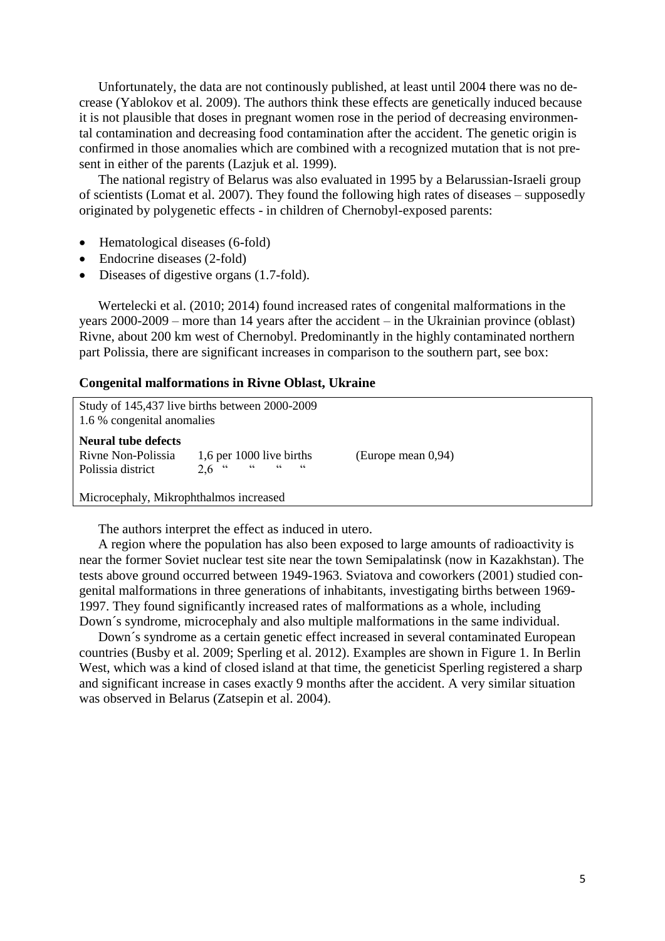Unfortunately, the data are not continously published, at least until 2004 there was no decrease (Yablokov et al. 2009). The authors think these effects are genetically induced because it is not plausible that doses in pregnant women rose in the period of decreasing environmental contamination and decreasing food contamination after the accident. The genetic origin is confirmed in those anomalies which are combined with a recognized mutation that is not present in either of the parents (Lazjuk et al. 1999).

The national registry of Belarus was also evaluated in 1995 by a Belarussian-Israeli group of scientists (Lomat et al. 2007). They found the following high rates of diseases – supposedly originated by polygenetic effects - in children of Chernobyl-exposed parents:

- Hematological diseases (6-fold)
- Endocrine diseases (2-fold)
- Diseases of digestive organs (1.7-fold).

Wertelecki et al. (2010; 2014) found increased rates of congenital malformations in the years 2000-2009 – more than 14 years after the accident – in the Ukrainian province (oblast) Rivne, about 200 km west of Chernobyl. Predominantly in the highly contaminated northern part Polissia, there are significant increases in comparison to the southern part, see box:

#### **Congenital malformations in Rivne Oblast, Ukraine**

| Study of 145,437 live births between 2000-2009<br>1.6 % congenital anomalies |                                                        |                    |  |
|------------------------------------------------------------------------------|--------------------------------------------------------|--------------------|--|
| Neural tube defects<br>Rivne Non-Polissia<br>Polissia district               | 1,6 per 1000 live births<br>66<br>$66$ $66$<br>$2.6$ " | (Europe mean 0,94) |  |
| Microcephaly, Mikrophthalmos increased                                       |                                                        |                    |  |

The authors interpret the effect as induced in utero.

A region where the population has also been exposed to large amounts of radioactivity is near the former Soviet nuclear test site near the town Semipalatinsk (now in Kazakhstan). The tests above ground occurred between 1949-1963. Sviatova and coworkers (2001) studied congenital malformations in three generations of inhabitants, investigating births between 1969- 1997. They found significantly increased rates of malformations as a whole, including Down´s syndrome, microcephaly and also multiple malformations in the same individual.

Down´s syndrome as a certain genetic effect increased in several contaminated European countries (Busby et al. 2009; Sperling et al. 2012). Examples are shown in Figure 1. In Berlin West, which was a kind of closed island at that time, the geneticist Sperling registered a sharp and significant increase in cases exactly 9 months after the accident. A very similar situation was observed in Belarus (Zatsepin et al. 2004).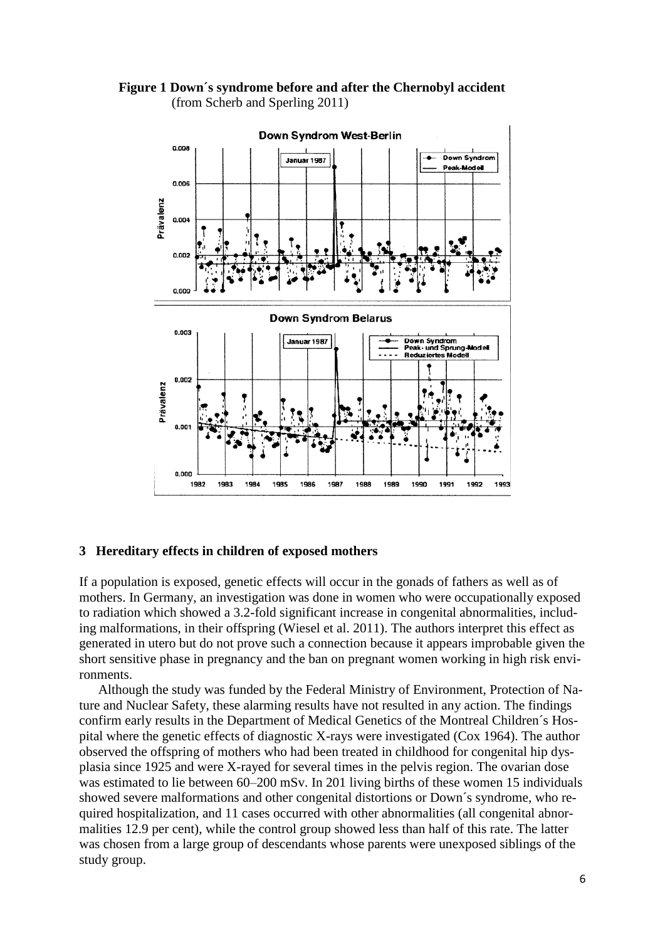**Figure 1 Down´s syndrome before and after the Chernobyl accident** (from Scherb and Sperling 2011)



#### **3 Hereditary effects in children of exposed mothers**

If a population is exposed, genetic effects will occur in the gonads of fathers as well as of mothers. In Germany, an investigation was done in women who were occupationally exposed to radiation which showed a 3.2-fold significant increase in congenital abnormalities, including malformations, in their offspring (Wiesel et al. 2011). The authors interpret this effect as generated in utero but do not prove such a connection because it appears improbable given the short sensitive phase in pregnancy and the ban on pregnant women working in high risk environments.

Although the study was funded by the Federal Ministry of Environment, Protection of Nature and Nuclear Safety, these alarming results have not resulted in any action. The findings confirm early results in the Department of Medical Genetics of the Montreal Children´s Hospital where the genetic effects of diagnostic X-rays were investigated (Cox 1964). The author observed the offspring of mothers who had been treated in childhood for congenital hip dysplasia since 1925 and were X-rayed for several times in the pelvis region. The ovarian dose was estimated to lie between 60–200 mSv. In 201 living births of these women 15 individuals showed severe malformations and other congenital distortions or Down´s syndrome, who required hospitalization, and 11 cases occurred with other abnormalities (all congenital abnormalities 12.9 per cent), while the control group showed less than half of this rate. The latter was chosen from a large group of descendants whose parents were unexposed siblings of the study group.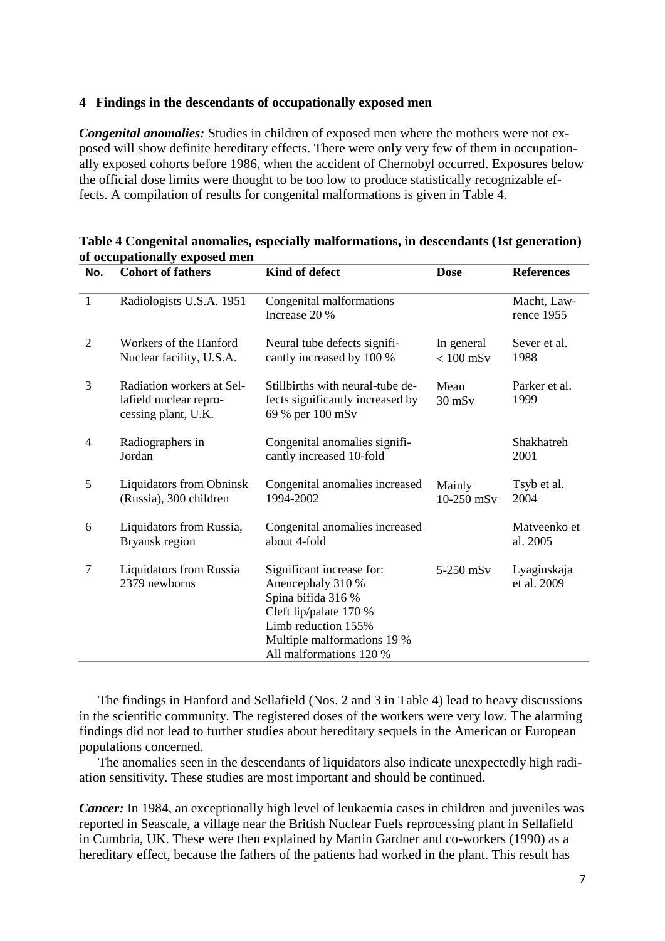### **4 Findings in the descendants of occupationally exposed men**

*Congenital anomalies:* Studies in children of exposed men where the mothers were not exposed will show definite hereditary effects. There were only very few of them in occupationally exposed cohorts before 1986, when the accident of Chernobyl occurred. Exposures below the official dose limits were thought to be too low to produce statistically recognizable effects. A compilation of results for congenital malformations is given in Table 4.

| No.            | <b>Cohort of fathers</b>                                                   | Kind of defect                                                                                                                                                                  | <b>Dose</b>               | <b>References</b>          |
|----------------|----------------------------------------------------------------------------|---------------------------------------------------------------------------------------------------------------------------------------------------------------------------------|---------------------------|----------------------------|
| $\mathbf{1}$   | Radiologists U.S.A. 1951                                                   | Congenital malformations<br>Increase 20 %                                                                                                                                       |                           | Macht, Law-<br>rence 1955  |
| $\overline{2}$ | Workers of the Hanford<br>Nuclear facility, U.S.A.                         | Neural tube defects signifi-<br>cantly increased by 100 %                                                                                                                       | In general<br>$< 100$ mSv | Sever et al.<br>1988       |
| 3              | Radiation workers at Sel-<br>lafield nuclear repro-<br>cessing plant, U.K. | Stillbirths with neural-tube de-<br>fects significantly increased by<br>69 % per 100 mSv                                                                                        | Mean<br>$30$ mS $v$       | Parker et al.<br>1999      |
| 4              | Radiographers in<br>Jordan                                                 | Congenital anomalies signifi-<br>cantly increased 10-fold                                                                                                                       |                           | Shakhatreh<br>2001         |
| 5              | <b>Liquidators from Obninsk</b><br>(Russia), 300 children                  | Congenital anomalies increased<br>1994-2002                                                                                                                                     | Mainly<br>$10-250$ mSv    | Tsyb et al.<br>2004        |
| 6              | Liquidators from Russia,<br>Bryansk region                                 | Congenital anomalies increased<br>about 4-fold                                                                                                                                  |                           | Matyeenko et<br>al. 2005   |
| 7              | <b>Liquidators from Russia</b><br>2379 newborns                            | Significant increase for:<br>Anencephaly 310 %<br>Spina bifida 316 %<br>Cleft lip/palate 170 %<br>Limb reduction 155%<br>Multiple malformations 19 %<br>All malformations 120 % | 5-250 mSv                 | Lyaginskaja<br>et al. 2009 |

### **Table 4 Congenital anomalies, especially malformations, in descendants (1st generation) of occupationally exposed men**

The findings in Hanford and Sellafield (Nos. 2 and 3 in Table 4) lead to heavy discussions in the scientific community. The registered doses of the workers were very low. The alarming findings did not lead to further studies about hereditary sequels in the American or European populations concerned.

The anomalies seen in the descendants of liquidators also indicate unexpectedly high radiation sensitivity. These studies are most important and should be continued.

*Cancer:* In 1984, an exceptionally high level of leukaemia cases in children and juveniles was reported in Seascale, a village near the British Nuclear Fuels reprocessing plant in Sellafield in Cumbria, UK. These were then explained by Martin Gardner and co-workers (1990) as a hereditary effect, because the fathers of the patients had worked in the plant. This result has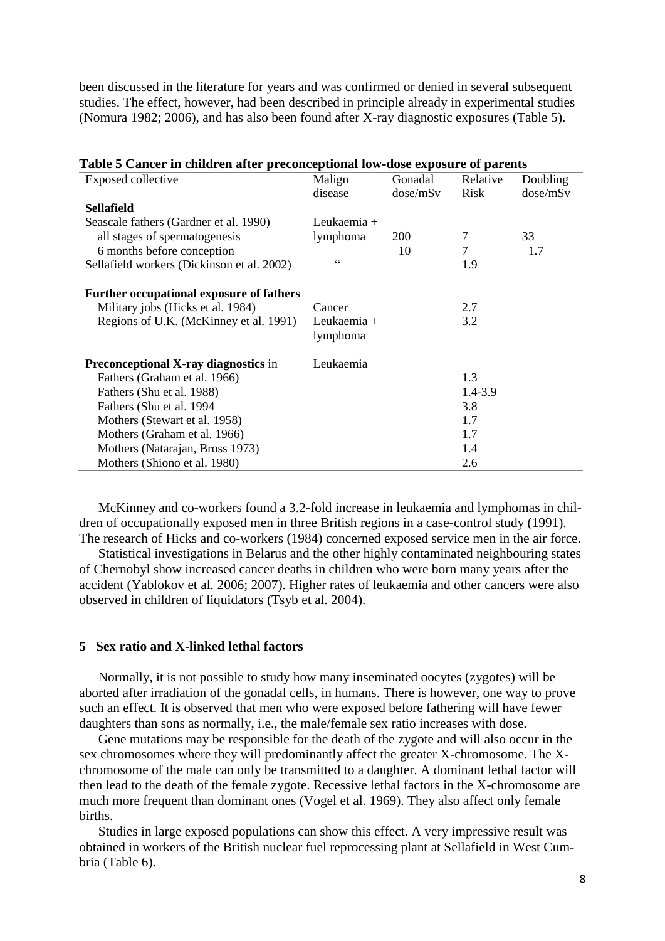been discussed in the literature for years and was confirmed or denied in several subsequent studies. The effect, however, had been described in principle already in experimental studies (Nomura 1982; 2006), and has also been found after X-ray diagnostic exposures (Table 5).

| Exposed collective                              | Malign      | Gonadal    | Relative | Doubling |
|-------------------------------------------------|-------------|------------|----------|----------|
|                                                 | disease     | dose/mSv   | Risk     | dose/mSv |
| <b>Sellafield</b>                               |             |            |          |          |
| Seascale fathers (Gardner et al. 1990)          | Leukaemia + |            |          |          |
| all stages of spermatogenesis                   | lymphoma    | <b>200</b> | 7        | 33       |
| 6 months before conception                      |             | 10         | 7        | 1.7      |
| Sellafield workers (Dickinson et al. 2002)      | 66          |            | 1.9      |          |
|                                                 |             |            |          |          |
| <b>Further occupational exposure of fathers</b> |             |            |          |          |
| Military jobs (Hicks et al. 1984)               | Cancer      |            | 2.7      |          |
| Regions of U.K. (McKinney et al. 1991)          | Leukaemia + |            | 3.2      |          |
|                                                 | lymphoma    |            |          |          |
| Preconceptional X-ray diagnostics in            | Leukaemia   |            |          |          |
| Fathers (Graham et al. 1966)                    |             |            | 1.3      |          |
| Fathers (Shu et al. 1988)                       |             |            | 1.4-3.9  |          |
| Fathers (Shu et al. 1994)                       |             |            | 3.8      |          |
| Mothers (Stewart et al. 1958)                   |             |            | 1.7      |          |
| Mothers (Graham et al. 1966)                    |             |            | 1.7      |          |
| Mothers (Natarajan, Bross 1973)                 |             |            | 1.4      |          |
| Mothers (Shiono et al. 1980)                    |             |            | 2.6      |          |

| Table 5 Cancer in children after preconceptional low-dose exposure of parents |  |  |  |
|-------------------------------------------------------------------------------|--|--|--|
|-------------------------------------------------------------------------------|--|--|--|

McKinney and co-workers found a 3.2-fold increase in leukaemia and lymphomas in children of occupationally exposed men in three British regions in a case-control study (1991). The research of Hicks and co-workers (1984) concerned exposed service men in the air force.

Statistical investigations in Belarus and the other highly contaminated neighbouring states of Chernobyl show increased cancer deaths in children who were born many years after the accident (Yablokov et al. 2006; 2007). Higher rates of leukaemia and other cancers were also observed in children of liquidators (Tsyb et al. 2004).

#### **5 Sex ratio and X-linked lethal factors**

Normally, it is not possible to study how many inseminated oocytes (zygotes) will be aborted after irradiation of the gonadal cells, in humans. There is however, one way to prove such an effect. It is observed that men who were exposed before fathering will have fewer daughters than sons as normally, i.e., the male/female sex ratio increases with dose.

Gene mutations may be responsible for the death of the zygote and will also occur in the sex chromosomes where they will predominantly affect the greater X-chromosome. The Xchromosome of the male can only be transmitted to a daughter. A dominant lethal factor will then lead to the death of the female zygote. Recessive lethal factors in the X-chromosome are much more frequent than dominant ones (Vogel et al. 1969). They also affect only female births.

Studies in large exposed populations can show this effect. A very impressive result was obtained in workers of the British nuclear fuel reprocessing plant at Sellafield in West Cumbria (Table 6).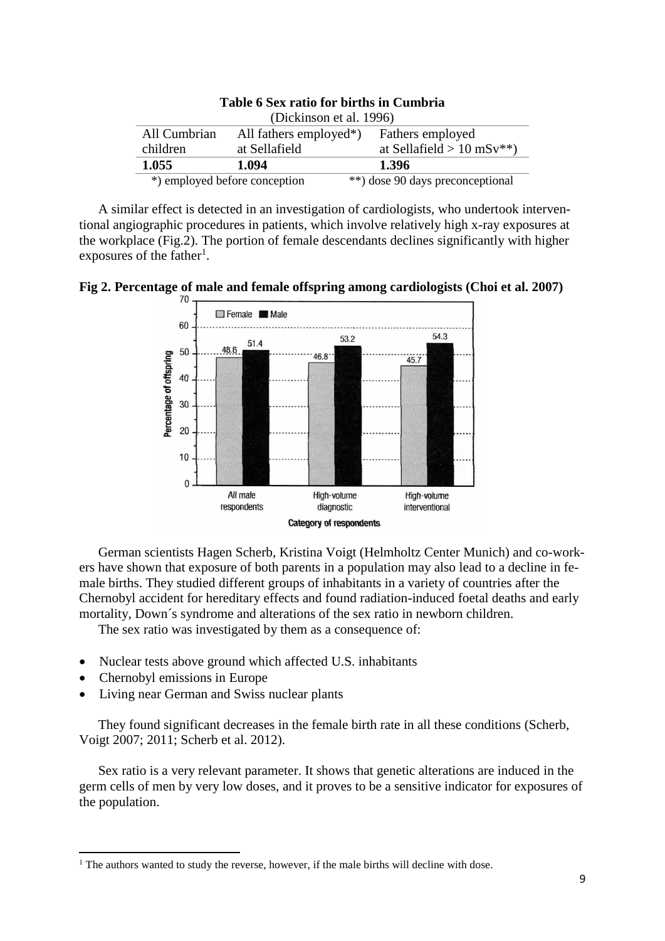| Table 6 Sex ratio for births in Cumbria                                 |                               |                                  |
|-------------------------------------------------------------------------|-------------------------------|----------------------------------|
| (Dickinson et al. 1996)                                                 |                               |                                  |
| All Cumbrian<br>Fathers employed<br>All fathers employed <sup>*</sup> ) |                               |                                  |
| children                                                                | at Sellafield                 | at Sellafield $> 10$ mSv**)      |
| 1.055                                                                   | 1.094                         | 1.396                            |
|                                                                         | *) employed before conception | **) dose 90 days preconceptional |

A similar effect is detected in an investigation of cardiologists, who undertook interventional angiographic procedures in patients, which involve relatively high x-ray exposures at the workplace (Fig.2). The portion of female descendants declines significantly with higher exposures of the father<sup>1</sup>.





German scientists Hagen Scherb, Kristina Voigt (Helmholtz Center Munich) and co-workers have shown that exposure of both parents in a population may also lead to a decline in female births. They studied different groups of inhabitants in a variety of countries after the Chernobyl accident for hereditary effects and found radiation-induced foetal deaths and early mortality, Down´s syndrome and alterations of the sex ratio in newborn children.

The sex ratio was investigated by them as a consequence of:

- Nuclear tests above ground which affected U.S. inhabitants
- Chernobyl emissions in Europe

 $\overline{\phantom{a}}$ 

• Living near German and Swiss nuclear plants

They found significant decreases in the female birth rate in all these conditions (Scherb, Voigt 2007; 2011; Scherb et al. 2012).

Sex ratio is a very relevant parameter. It shows that genetic alterations are induced in the germ cells of men by very low doses, and it proves to be a sensitive indicator for exposures of the population.

<sup>&</sup>lt;sup>1</sup> The authors wanted to study the reverse, however, if the male births will decline with dose.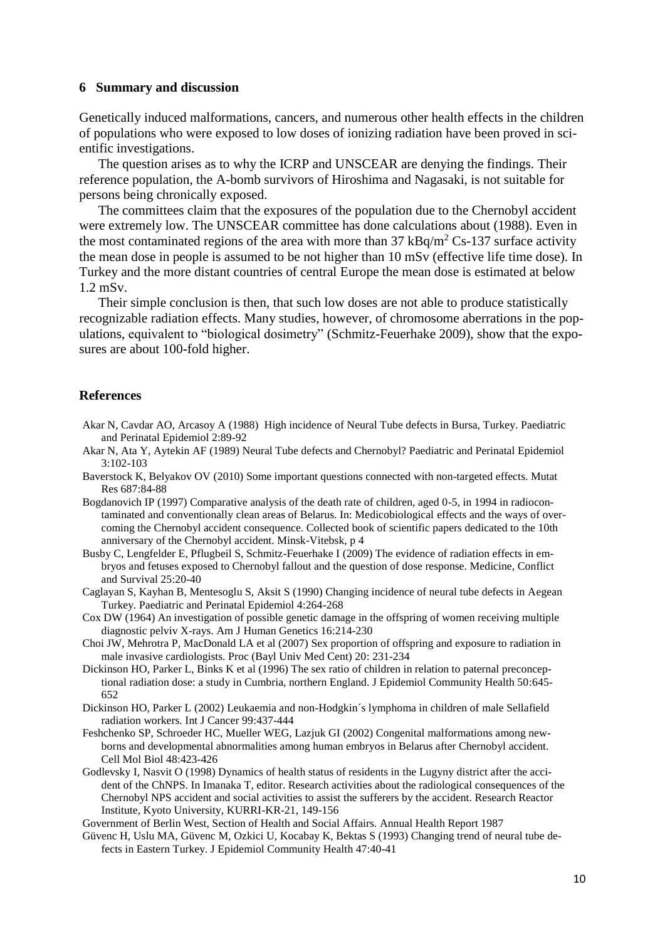### **6 Summary and discussion**

Genetically induced malformations, cancers, and numerous other health effects in the children of populations who were exposed to low doses of ionizing radiation have been proved in scientific investigations.

The question arises as to why the ICRP and UNSCEAR are denying the findings. Their reference population, the A-bomb survivors of Hiroshima and Nagasaki, is not suitable for persons being chronically exposed.

The committees claim that the exposures of the population due to the Chernobyl accident were extremely low. The UNSCEAR committee has done calculations about (1988). Even in the most contaminated regions of the area with more than  $37 \text{ kBq/m}^2 \text{Cs}$ -137 surface activity the mean dose in people is assumed to be not higher than 10 mSv (effective life time dose). In Turkey and the more distant countries of central Europe the mean dose is estimated at below 1.2 mSv.

Their simple conclusion is then, that such low doses are not able to produce statistically recognizable radiation effects. Many studies, however, of chromosome aberrations in the populations, equivalent to "biological dosimetry" (Schmitz-Feuerhake 2009), show that the exposures are about 100-fold higher.

#### **References**

- Akar N, Cavdar AO, Arcasoy A (1988) High incidence of Neural Tube defects in Bursa, Turkey. Paediatric and Perinatal Epidemiol 2:89-92
- Akar N, Ata Y, Aytekin AF (1989) Neural Tube defects and Chernobyl? Paediatric and Perinatal Epidemiol 3:102-103
- Baverstock K, Belyakov OV (2010) Some important questions connected with non-targeted effects. Mutat Res 687:84-88
- Bogdanovich IP (1997) Comparative analysis of the death rate of children, aged 0-5, in 1994 in radiocontaminated and conventionally clean areas of Belarus. In: Medicobiological effects and the ways of overcoming the Chernobyl accident consequence. Collected book of scientific papers dedicated to the 10th anniversary of the Chernobyl accident. Minsk-Vitebsk, p 4
- Busby C, Lengfelder E, Pflugbeil S, Schmitz-Feuerhake I (2009) The evidence of radiation effects in embryos and fetuses exposed to Chernobyl fallout and the question of dose response. Medicine, Conflict and Survival 25:20-40
- Caglayan S, Kayhan B, Mentesoglu S, Aksit S (1990) Changing incidence of neural tube defects in Aegean Turkey. Paediatric and Perinatal Epidemiol 4:264-268
- Cox DW (1964) An investigation of possible genetic damage in the offspring of women receiving multiple diagnostic pelviv X-rays. Am J Human Genetics 16:214-230
- Choi JW, Mehrotra P, MacDonald LA et al (2007) Sex proportion of offspring and exposure to radiation in male invasive cardiologists. Proc (Bayl Univ Med Cent) 20: 231-234
- Dickinson HO, Parker L, Binks K et al (1996) The sex ratio of children in relation to paternal preconceptional radiation dose: a study in Cumbria, northern England. J Epidemiol Community Health 50:645- 652
- Dickinson HO, Parker L (2002) Leukaemia and non-Hodgkin´s lymphoma in children of male Sellafield radiation workers. Int J Cancer 99:437-444
- Feshchenko SP, Schroeder HC, Mueller WEG, Lazjuk GI (2002) Congenital malformations among newborns and developmental abnormalities among human embryos in Belarus after Chernobyl accident. Cell Mol Biol 48:423-426
- Godlevsky I, Nasvit O (1998) Dynamics of health status of residents in the Lugyny district after the accident of the ChNPS. In Imanaka T, editor. Research activities about the radiological consequences of the Chernobyl NPS accident and social activities to assist the sufferers by the accident. Research Reactor Institute, Kyoto University, KURRI-KR-21, 149-156

Government of Berlin West, Section of Health and Social Affairs. Annual Health Report 1987

Güvenc H, Uslu MA, Güvenc M, Ozkici U, Kocabay K, Bektas S (1993) Changing trend of neural tube defects in Eastern Turkey. J Epidemiol Community Health 47:40-41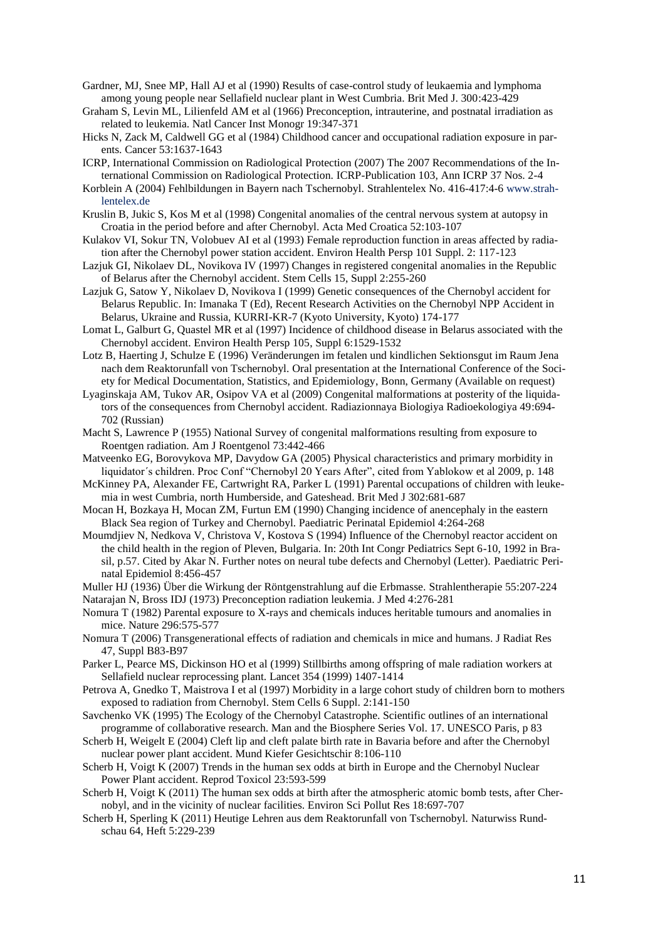Gardner, MJ, Snee MP, Hall AJ et al (1990) Results of case-control study of leukaemia and lymphoma among young people near Sellafield nuclear plant in West Cumbria. Brit Med J. 300:423-429

- Graham S, Levin ML, Lilienfeld AM et al (1966) Preconception, intrauterine, and postnatal irradiation as related to leukemia. Natl Cancer Inst Monogr 19:347-371
- Hicks N, Zack M, Caldwell GG et al (1984) Childhood cancer and occupational radiation exposure in parents. Cancer 53:1637-1643
- ICRP, International Commission on Radiological Protection (2007) The 2007 Recommendations of the International Commission on Radiological Protection. ICRP-Publication 103, Ann ICRP 37 Nos. 2-4
- Korblein A (2004) Fehlbildungen in Bayern nach Tschernobyl. Strahlentelex No. 416-417:4-6 [www.strah](http://www.strahlentelex.de/)[lentelex.de](http://www.strahlentelex.de/)
- Kruslin B, Jukic S, Kos M et al (1998) Congenital anomalies of the central nervous system at autopsy in Croatia in the period before and after Chernobyl. Acta Med Croatica 52:103-107
- Kulakov VI, Sokur TN, Volobuev AI et al (1993) Female reproduction function in areas affected by radiation after the Chernobyl power station accident. Environ Health Persp 101 Suppl. 2: 117-123
- Lazjuk GI, Nikolaev DL, Novikova IV (1997) Changes in registered congenital anomalies in the Republic of Belarus after the Chernobyl accident. Stem Cells 15, Suppl 2:255-260
- Lazjuk G, Satow Y, Nikolaev D, Novikova I (1999) Genetic consequences of the Chernobyl accident for Belarus Republic. In: Imanaka T (Ed), Recent Research Activities on the Chernobyl NPP Accident in Belarus, Ukraine and Russia, KURRI-KR-7 (Kyoto University, Kyoto) 174-177
- Lomat L, Galburt G, Quastel MR et al (1997) Incidence of childhood disease in Belarus associated with the Chernobyl accident. Environ Health Persp 105, Suppl 6:1529-1532
- Lotz B, Haerting J, Schulze E (1996) Veränderungen im fetalen und kindlichen Sektionsgut im Raum Jena nach dem Reaktorunfall von Tschernobyl. Oral presentation at the International Conference of the Society for Medical Documentation, Statistics, and Epidemiology, Bonn, Germany (Available on request)
- Lyaginskaja AM, Tukov AR, Osipov VA et al (2009) Congenital malformations at posterity of the liquidators of the consequences from Chernobyl accident. Radiazionnaya Biologiya Radioekologiya 49:694- 702 (Russian)
- Macht S, Lawrence P (1955) National Survey of congenital malformations resulting from exposure to Roentgen radiation. Am J Roentgenol 73:442-466
- Matveenko EG, Borovykova MP, Davydow GA (2005) Physical characteristics and primary morbidity in liquidator´s children. Proc Conf "Chernobyl 20 Years After", cited from Yablokow et al 2009, p. 148
- McKinney PA, Alexander FE, Cartwright RA, Parker L (1991) Parental occupations of children with leukemia in west Cumbria, north Humberside, and Gateshead. Brit Med J 302:681-687
- Mocan H, Bozkaya H, Mocan ZM, Furtun EM (1990) Changing incidence of anencephaly in the eastern Black Sea region of Turkey and Chernobyl. Paediatric Perinatal Epidemiol 4:264-268
- Moumdjiev N, Nedkova V, Christova V, Kostova S (1994) Influence of the Chernobyl reactor accident on the child health in the region of Pleven, Bulgaria. In: 20th Int Congr Pediatrics Sept 6-10, 1992 in Brasil, p.57. Cited by Akar N. Further notes on neural tube defects and Chernobyl (Letter). Paediatric Perinatal Epidemiol 8:456-457
- Muller HJ (1936) Über die Wirkung der Röntgenstrahlung auf die Erbmasse. Strahlentherapie 55:207-224 Natarajan N, Bross IDJ (1973) Preconception radiation leukemia. J Med 4:276-281
- Nomura T (1982) Parental exposure to X-rays and chemicals induces heritable tumours and anomalies in mice. Nature 296:575-577
- Nomura T (2006) Transgenerational effects of radiation and chemicals in mice and humans. J Radiat Res 47, Suppl B83-B97
- Parker L, Pearce MS, Dickinson HO et al (1999) Stillbirths among offspring of male radiation workers at Sellafield nuclear reprocessing plant. Lancet 354 (1999) 1407-1414
- Petrova A, Gnedko T, Maistrova I et al (1997) Morbidity in a large cohort study of children born to mothers exposed to radiation from Chernobyl. Stem Cells 6 Suppl. 2:141-150
- Savchenko VK (1995) The Ecology of the Chernobyl Catastrophe. Scientific outlines of an international programme of collaborative research. Man and the Biosphere Series Vol. 17. UNESCO Paris, p 83
- Scherb H, Weigelt E (2004) Cleft lip and cleft palate birth rate in Bavaria before and after the Chernobyl nuclear power plant accident. Mund Kiefer Gesichtschir 8:106-110
- Scherb H, Voigt K (2007) Trends in the human sex odds at birth in Europe and the Chernobyl Nuclear Power Plant accident. Reprod Toxicol 23:593-599
- Scherb H, Voigt K (2011) The human sex odds at birth after the atmospheric atomic bomb tests, after Chernobyl, and in the vicinity of nuclear facilities. Environ Sci Pollut Res 18:697-707
- Scherb H, Sperling K (2011) Heutige Lehren aus dem Reaktorunfall von Tschernobyl. Naturwiss Rundschau 64, Heft 5:229-239